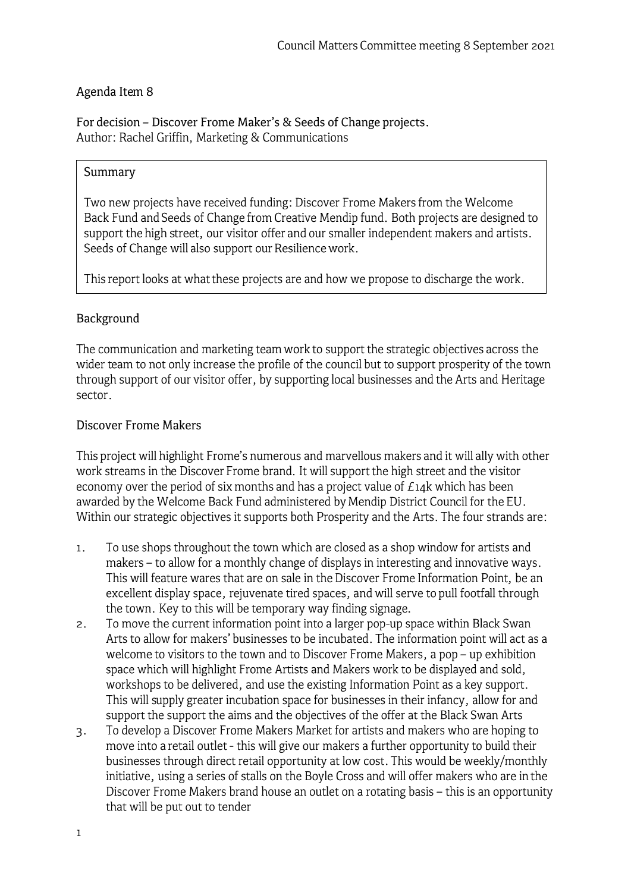## Agenda Item 8

For decision - Discover Frome Maker's & Seeds of Change projects. Author: Rachel Griffin, Marketing & Communications

### Summary

Two new projects have received funding: Discover Frome Makers from the Welcome Back Fund and Seeds of Change from Creative Mendip fund. Both projects are designed to support the high street, our visitor offer and our smaller independent makers and artists. Seeds of Change will also support our Resilience work.

This report looks at what these projects are and how we propose to discharge the work.

# Background

The communication and marketing team work to support the strategic objectives across the wider team to not only increase the profile of the council but to support prosperity of the town through support of our visitor offer, by supporting local businesses and the Arts and Heritage sector.

### Discover Frame Makers

This project will highlight Frome's numerous and marvellous makers and it will ally with other work streams in the Discover Frome brand. It will support the high street and the visitor economy over the period of six months and has a project value of  $E14k$  which has been awarded by the Welcome Back Fund administered by Mendip District Council for the EU. Within our strategic objectives it supports both Prosperity and the Arts. The four strands are:

- 1. To use shops throughout the town which are closed as a shop window for artists and makers - to allow for a monthly change of displays in interesting and innovative ways. This will feature wares that are on sale in the Discover Frome Information Point, be an excellent display space, rejuvenate tired spaces, and will serve to pull footfall through the town. Key to this will be temporary way finding signage.
- 2. To move the current information point into a larger pop-up space within Black Swan Arts to allow for makers' businesses to be incubated. The information point will act as a welcome to visitors to the town and to Discover Frome Makers, a pop - up exhibition space which will highlight Frome Artists and Makers work to be displayed and sold, workshops to be delivered, and use the existing Information Point as a key support. This will supply greater incubation space for businesses in their infancy, allow for and support the support the aims and the objectives of the offer at the Black Swan Arts
- 3. To develop a Discover Frome Makers Market for artists and makers who are hoping to move into a retail outlet - this will give our makers a further opportunity to build their businesses through direct retail opportunity at low cost. This would be weekly/monthly initiative, using a series of stalls on the Boyle Cross and will offer makers who are in the Discover Frome Makers brand house an outlet on a rotating basis - this is an opportunity that will be put out to tender